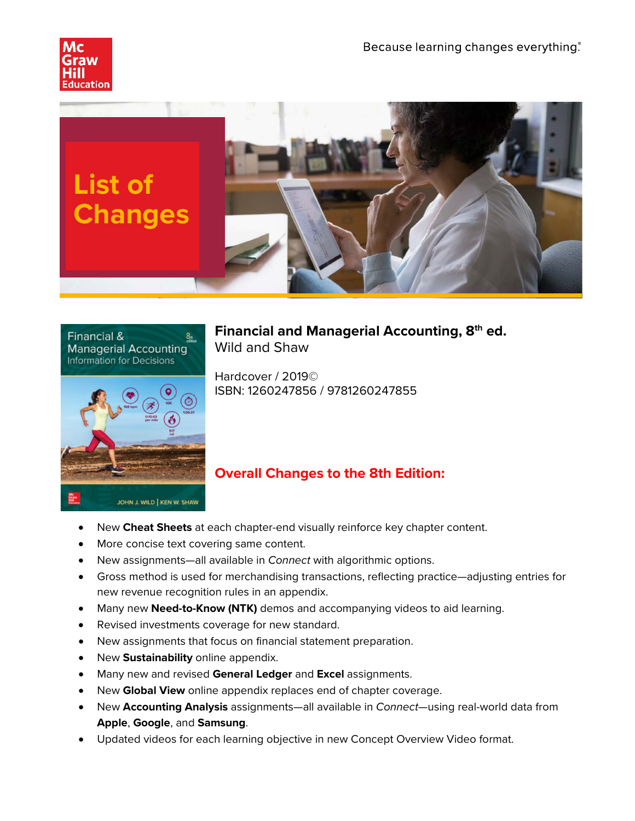





**Financial and Managerial Accounting, 8th ed.** Wild and Shaw

Hardcover / 2019© ISBN: 1260247856 / 9781260247855

# **Overall Changes to the 8th Edition:**

- New **Cheat Sheets** at each chapter-end visually reinforce key chapter content.
- More concise text covering same content.
- New assignments—all available in *Connect* with algorithmic options.
- Gross method is used for merchandising transactions, reflecting practice—adjusting entries for new revenue recognition rules in an appendix.
- Many new **Need-to-Know (NTK)** demos and accompanying videos to aid learning.
- Revised investments coverage for new standard.
- New assignments that focus on financial statement preparation.
- New **Sustainability** online appendix.
- Many new and revised **General Ledger** and **Excel** assignments.
- New **Global View** online appendix replaces end of chapter coverage.
- New **Accounting Analysis** assignments—all available in *Connect*—using real-world data from **Apple**, **Google**, and **Samsung**.
- Updated videos for each learning objective in new Concept Overview Video format.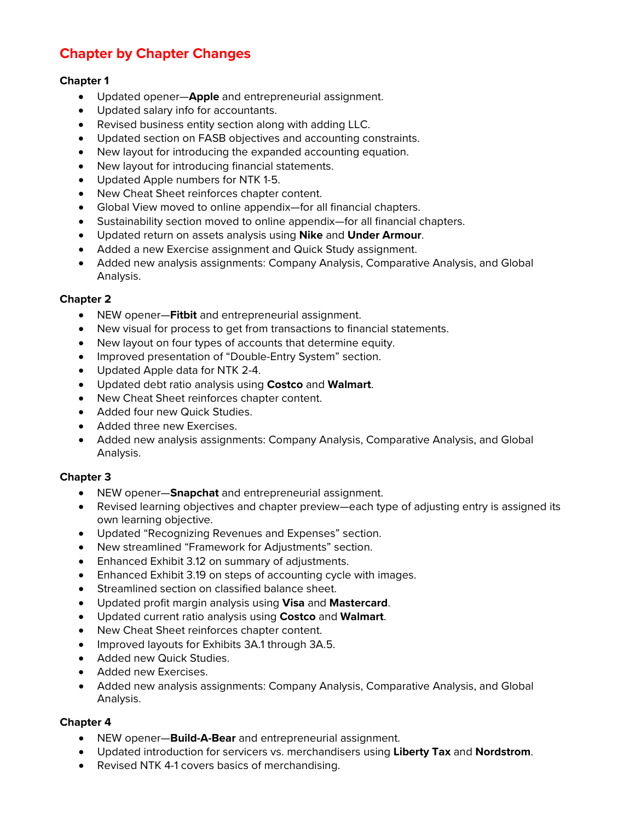# **Chapter by Chapter Changes**

# **Chapter 1**

- Updated opener—**Apple** and entrepreneurial assignment.
- Updated salary info for accountants.
- Revised business entity section along with adding LLC.
- Updated section on FASB objectives and accounting constraints.
- New layout for introducing the expanded accounting equation.
- New layout for introducing financial statements.
- Updated Apple numbers for NTK 1-5.
- New Cheat Sheet reinforces chapter content.
- Global View moved to online appendix—for all financial chapters.
- Sustainability section moved to online appendix—for all financial chapters.
- Updated return on assets analysis using **Nike** and **Under Armour**.
- Added a new Exercise assignment and Quick Study assignment.
- Added new analysis assignments: Company Analysis, Comparative Analysis, and Global Analysis.

## **Chapter 2**

- NEW opener—**Fitbit** and entrepreneurial assignment.
- New visual for process to get from transactions to financial statements.
- New layout on four types of accounts that determine equity.
- Improved presentation of "Double-Entry System" section.
- Updated Apple data for NTK 2-4.
- Updated debt ratio analysis using **Costco** and **Walmart**.
- New Cheat Sheet reinforces chapter content.
- Added four new Quick Studies.
- Added three new Exercises.
- Added new analysis assignments: Company Analysis, Comparative Analysis, and Global Analysis.

## **Chapter 3**

- NEW opener—**Snapchat** and entrepreneurial assignment.
- Revised learning objectives and chapter preview—each type of adjusting entry is assigned its own learning objective.
- Updated "Recognizing Revenues and Expenses" section.
- New streamlined "Framework for Adjustments" section.
- Enhanced Exhibit 3.12 on summary of adjustments.
- Enhanced Exhibit 3.19 on steps of accounting cycle with images.
- Streamlined section on classified balance sheet.
- Updated profit margin analysis using **Visa** and **Mastercard**.
- Updated current ratio analysis using **Costco** and **Walmart**.
- New Cheat Sheet reinforces chapter content.
- Improved layouts for Exhibits 3A.1 through 3A.5.
- Added new Quick Studies.
- Added new Exercises.
- Added new analysis assignments: Company Analysis, Comparative Analysis, and Global Analysis.

- NEW opener—**Build-A-Bear** and entrepreneurial assignment.
- Updated introduction for servicers vs. merchandisers using **Liberty Tax** and **Nordstrom**.
- Revised NTK 4-1 covers basics of merchandising.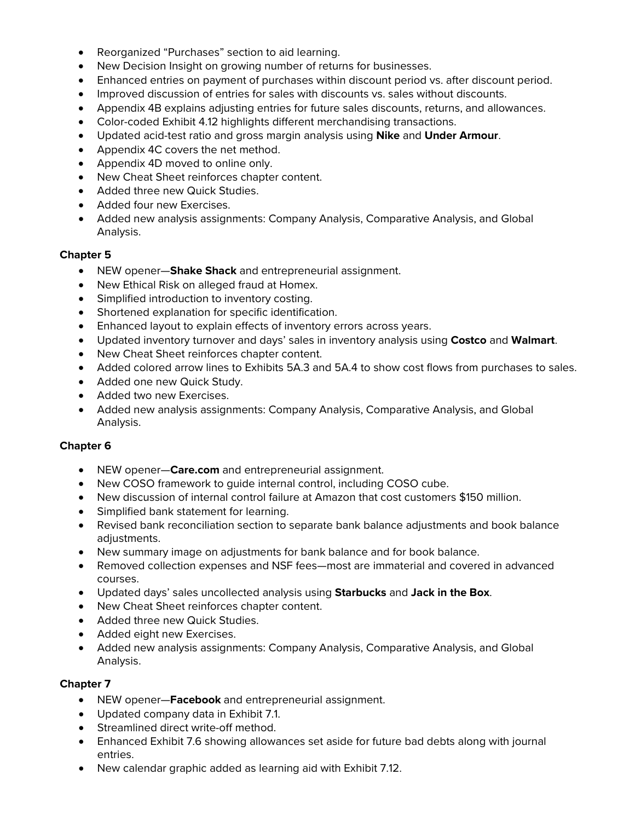- Reorganized "Purchases" section to aid learning.
- New Decision Insight on growing number of returns for businesses.
- Enhanced entries on payment of purchases within discount period vs. after discount period.
- Improved discussion of entries for sales with discounts vs. sales without discounts.
- Appendix 4B explains adjusting entries for future sales discounts, returns, and allowances.
- Color-coded Exhibit 4.12 highlights different merchandising transactions.
- Updated acid-test ratio and gross margin analysis using **Nike** and **Under Armour**.
- Appendix 4C covers the net method.
- Appendix 4D moved to online only.
- New Cheat Sheet reinforces chapter content.
- Added three new Quick Studies.
- Added four new Exercises.
- Added new analysis assignments: Company Analysis, Comparative Analysis, and Global Analysis.

- NEW opener—**Shake Shack** and entrepreneurial assignment.
- New Ethical Risk on alleged fraud at Homex.
- Simplified introduction to inventory costing.
- Shortened explanation for specific identification.
- Enhanced layout to explain effects of inventory errors across years.
- Updated inventory turnover and days' sales in inventory analysis using **Costco** and **Walmart**.
- New Cheat Sheet reinforces chapter content.
- Added colored arrow lines to Exhibits 5A.3 and 5A.4 to show cost flows from purchases to sales.
- Added one new Quick Study.
- Added two new Exercises.
- Added new analysis assignments: Company Analysis, Comparative Analysis, and Global Analysis.

## **Chapter 6**

- NEW opener—**Care.com** and entrepreneurial assignment.
- New COSO framework to guide internal control, including COSO cube.
- New discussion of internal control failure at Amazon that cost customers \$150 million.
- Simplified bank statement for learning.
- Revised bank reconciliation section to separate bank balance adjustments and book balance adiustments.
- New summary image on adjustments for bank balance and for book balance.
- Removed collection expenses and NSF fees—most are immaterial and covered in advanced courses.
- Updated days' sales uncollected analysis using **Starbucks** and **Jack in the Box**.
- New Cheat Sheet reinforces chapter content.
- Added three new Quick Studies.
- Added eight new Exercises.
- Added new analysis assignments: Company Analysis, Comparative Analysis, and Global Analysis.

- NEW opener—**Facebook** and entrepreneurial assignment.
- Updated company data in Exhibit 7.1.
- Streamlined direct write-off method.
- Enhanced Exhibit 7.6 showing allowances set aside for future bad debts along with journal entries.
- New calendar graphic added as learning aid with Exhibit 7.12.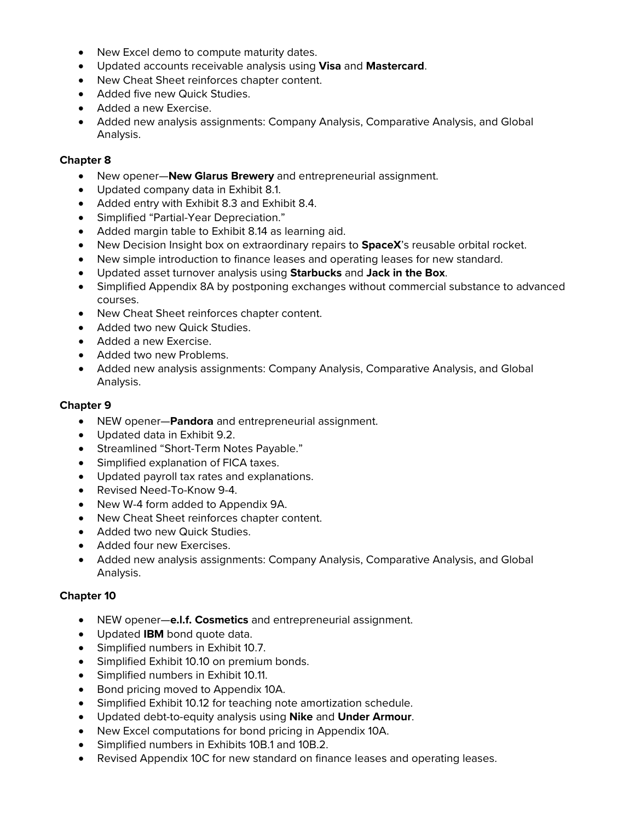- New Excel demo to compute maturity dates.
- Updated accounts receivable analysis using **Visa** and **Mastercard**.
- New Cheat Sheet reinforces chapter content.
- Added five new Quick Studies.
- Added a new Exercise.
- Added new analysis assignments: Company Analysis, Comparative Analysis, and Global Analysis.

- New opener—**New Glarus Brewery** and entrepreneurial assignment.
- Updated company data in Exhibit 8.1.
- Added entry with Exhibit 8.3 and Exhibit 8.4.
- Simplified "Partial-Year Depreciation."
- Added margin table to Exhibit 8.14 as learning aid.
- New Decision Insight box on extraordinary repairs to **SpaceX**'s reusable orbital rocket.
- New simple introduction to finance leases and operating leases for new standard.
- Updated asset turnover analysis using **Starbucks** and **Jack in the Box**.
- Simplified Appendix 8A by postponing exchanges without commercial substance to advanced courses.
- New Cheat Sheet reinforces chapter content.
- Added two new Quick Studies.
- Added a new Exercise.
- Added two new Problems.
- Added new analysis assignments: Company Analysis, Comparative Analysis, and Global Analysis.

# **Chapter 9**

- NEW opener—**Pandora** and entrepreneurial assignment.
- Updated data in Exhibit 9.2.
- Streamlined "Short-Term Notes Payable."
- Simplified explanation of FICA taxes.
- Updated payroll tax rates and explanations.
- Revised Need-To-Know 9-4.
- New W-4 form added to Appendix 9A.
- New Cheat Sheet reinforces chapter content.
- Added two new Quick Studies.
- Added four new Exercises.
- Added new analysis assignments: Company Analysis, Comparative Analysis, and Global Analysis.

- NEW opener—**e.l.f. Cosmetics** and entrepreneurial assignment.
- Updated **IBM** bond quote data.
- Simplified numbers in Exhibit 10.7.
- Simplified Exhibit 10.10 on premium bonds.
- Simplified numbers in Exhibit 10.11.
- Bond pricing moved to Appendix 10A.
- Simplified Exhibit 10.12 for teaching note amortization schedule.
- Updated debt-to-equity analysis using **Nike** and **Under Armour**.
- New Excel computations for bond pricing in Appendix 10A.
- Simplified numbers in Exhibits 10B.1 and 10B.2.
- Revised Appendix 10C for new standard on finance leases and operating leases.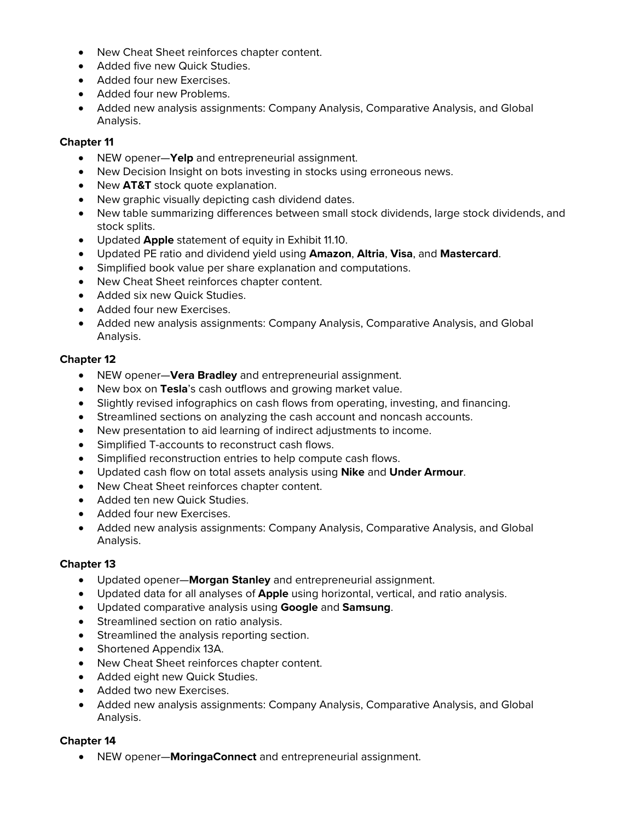- New Cheat Sheet reinforces chapter content.
- Added five new Quick Studies.
- Added four new Exercises.
- Added four new Problems.
- Added new analysis assignments: Company Analysis, Comparative Analysis, and Global Analysis.

- NEW opener—**Yelp** and entrepreneurial assignment.
- New Decision Insight on bots investing in stocks using erroneous news.
- New **AT&T** stock quote explanation.
- New graphic visually depicting cash dividend dates.
- New table summarizing differences between small stock dividends, large stock dividends, and stock splits.
- Updated **Apple** statement of equity in Exhibit 11.10.
- Updated PE ratio and dividend yield using **Amazon**, **Altria**, **Visa**, and **Mastercard**.
- Simplified book value per share explanation and computations.
- New Cheat Sheet reinforces chapter content.
- Added six new Quick Studies.
- Added four new Exercises.
- Added new analysis assignments: Company Analysis, Comparative Analysis, and Global Analysis.

# **Chapter 12**

- NEW opener—**Vera Bradley** and entrepreneurial assignment.
- New box on **Tesla**'s cash outflows and growing market value.
- Slightly revised infographics on cash flows from operating, investing, and financing.
- Streamlined sections on analyzing the cash account and noncash accounts.
- New presentation to aid learning of indirect adjustments to income.
- Simplified T-accounts to reconstruct cash flows.
- Simplified reconstruction entries to help compute cash flows.
- Updated cash flow on total assets analysis using **Nike** and **Under Armour**.
- New Cheat Sheet reinforces chapter content.
- Added ten new Quick Studies.
- Added four new Exercises.
- Added new analysis assignments: Company Analysis, Comparative Analysis, and Global Analysis.

# **Chapter 13**

- Updated opener—**Morgan Stanley** and entrepreneurial assignment.
- Updated data for all analyses of **Apple** using horizontal, vertical, and ratio analysis.
- Updated comparative analysis using **Google** and **Samsung**.
- Streamlined section on ratio analysis.
- Streamlined the analysis reporting section.
- Shortened Appendix 13A.
- New Cheat Sheet reinforces chapter content.
- Added eight new Quick Studies.
- Added two new Exercises.
- Added new analysis assignments: Company Analysis, Comparative Analysis, and Global Analysis.

# **Chapter 14**

• NEW opener—**MoringaConnect** and entrepreneurial assignment.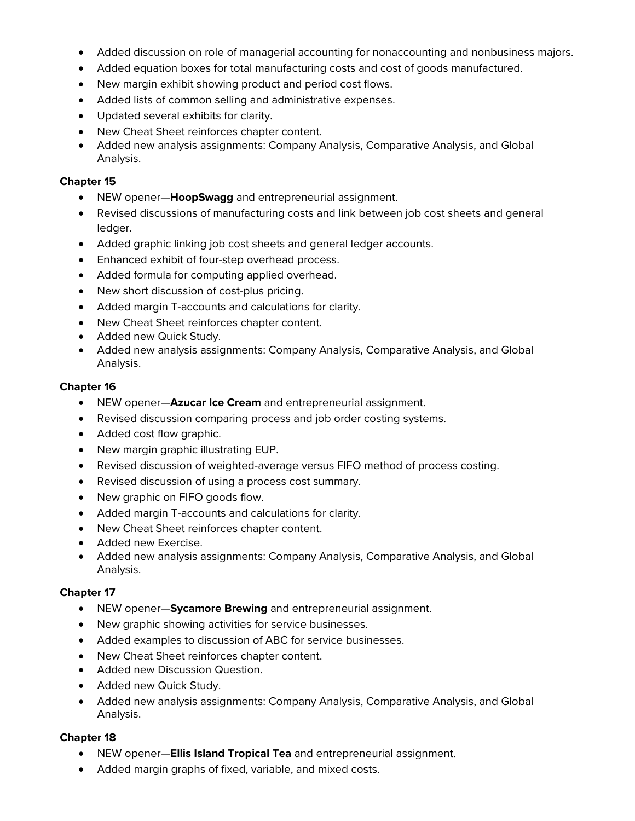- Added discussion on role of managerial accounting for nonaccounting and nonbusiness majors.
- Added equation boxes for total manufacturing costs and cost of goods manufactured.
- New margin exhibit showing product and period cost flows.
- Added lists of common selling and administrative expenses.
- Updated several exhibits for clarity.
- New Cheat Sheet reinforces chapter content.
- Added new analysis assignments: Company Analysis, Comparative Analysis, and Global Analysis.

- NEW opener—**HoopSwagg** and entrepreneurial assignment.
- Revised discussions of manufacturing costs and link between job cost sheets and general ledger.
- Added graphic linking job cost sheets and general ledger accounts.
- Enhanced exhibit of four-step overhead process.
- Added formula for computing applied overhead.
- New short discussion of cost-plus pricing.
- Added margin T-accounts and calculations for clarity.
- New Cheat Sheet reinforces chapter content.
- Added new Quick Study.
- Added new analysis assignments: Company Analysis, Comparative Analysis, and Global Analysis.

## **Chapter 16**

- NEW opener—**Azucar Ice Cream** and entrepreneurial assignment.
- Revised discussion comparing process and job order costing systems.
- Added cost flow graphic.
- New margin graphic illustrating EUP.
- Revised discussion of weighted-average versus FIFO method of process costing.
- Revised discussion of using a process cost summary.
- New graphic on FIFO goods flow.
- Added margin T-accounts and calculations for clarity.
- New Cheat Sheet reinforces chapter content.
- Added new Exercise.
- Added new analysis assignments: Company Analysis, Comparative Analysis, and Global Analysis.

# **Chapter 17**

- NEW opener—**Sycamore Brewing** and entrepreneurial assignment.
- New graphic showing activities for service businesses.
- Added examples to discussion of ABC for service businesses.
- New Cheat Sheet reinforces chapter content.
- Added new Discussion Question.
- Added new Quick Study.
- Added new analysis assignments: Company Analysis, Comparative Analysis, and Global Analysis.

- NEW opener—**Ellis Island Tropical Tea** and entrepreneurial assignment.
- Added margin graphs of fixed, variable, and mixed costs.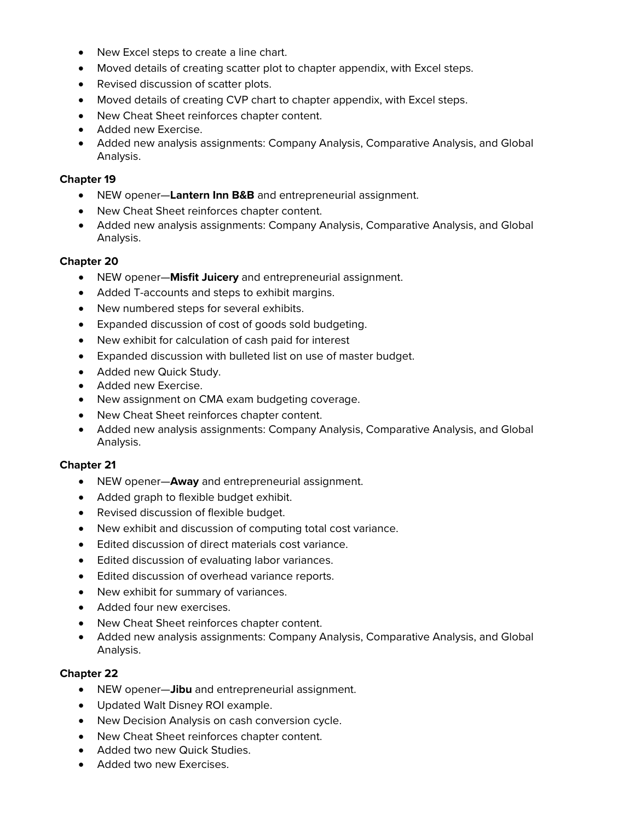- New Excel steps to create a line chart.
- Moved details of creating scatter plot to chapter appendix, with Excel steps.
- Revised discussion of scatter plots.
- Moved details of creating CVP chart to chapter appendix, with Excel steps.
- New Cheat Sheet reinforces chapter content.
- Added new Exercise.
- Added new analysis assignments: Company Analysis, Comparative Analysis, and Global Analysis.

- NEW opener—**Lantern Inn B&B** and entrepreneurial assignment.
- New Cheat Sheet reinforces chapter content.
- Added new analysis assignments: Company Analysis, Comparative Analysis, and Global Analysis.

## **Chapter 20**

- NEW opener—**Misfit Juicery** and entrepreneurial assignment.
- Added T-accounts and steps to exhibit margins.
- New numbered steps for several exhibits.
- Expanded discussion of cost of goods sold budgeting.
- New exhibit for calculation of cash paid for interest
- Expanded discussion with bulleted list on use of master budget.
- Added new Quick Study.
- Added new Exercise.
- New assignment on CMA exam budgeting coverage.
- New Cheat Sheet reinforces chapter content.
- Added new analysis assignments: Company Analysis, Comparative Analysis, and Global Analysis.

# **Chapter 21**

- NEW opener—**Away** and entrepreneurial assignment.
- Added graph to flexible budget exhibit.
- Revised discussion of flexible budget.
- New exhibit and discussion of computing total cost variance.
- Edited discussion of direct materials cost variance.
- Edited discussion of evaluating labor variances.
- Edited discussion of overhead variance reports.
- New exhibit for summary of variances.
- Added four new exercises.
- New Cheat Sheet reinforces chapter content.
- Added new analysis assignments: Company Analysis, Comparative Analysis, and Global Analysis.

- NEW opener—**Jibu** and entrepreneurial assignment.
- Updated Walt Disney ROI example.
- New Decision Analysis on cash conversion cycle.
- New Cheat Sheet reinforces chapter content.
- Added two new Quick Studies.
- Added two new Exercises.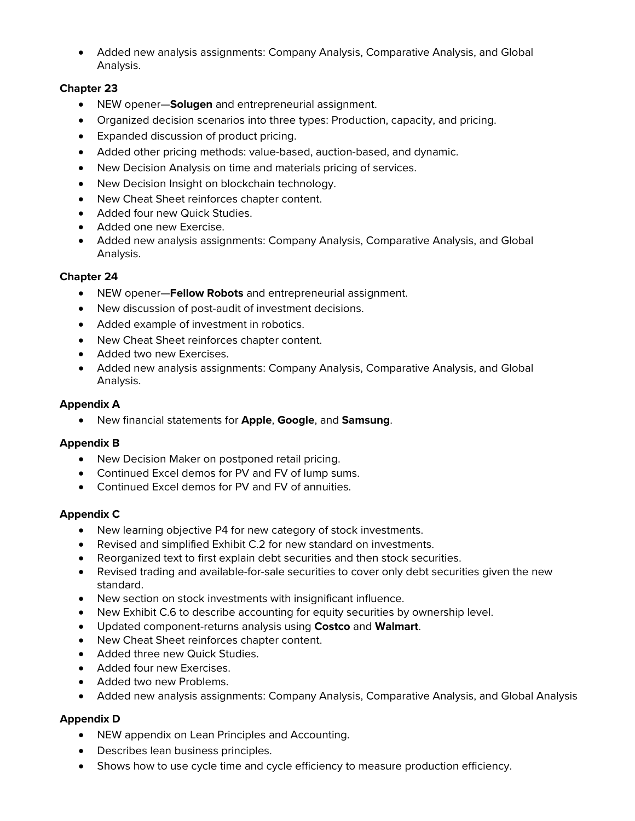• Added new analysis assignments: Company Analysis, Comparative Analysis, and Global Analysis.

# **Chapter 23**

- NEW opener—**Solugen** and entrepreneurial assignment.
- Organized decision scenarios into three types: Production, capacity, and pricing.
- Expanded discussion of product pricing.
- Added other pricing methods: value-based, auction-based, and dynamic.
- New Decision Analysis on time and materials pricing of services.
- New Decision Insight on blockchain technology.
- New Cheat Sheet reinforces chapter content.
- Added four new Quick Studies.
- Added one new Exercise.
- Added new analysis assignments: Company Analysis, Comparative Analysis, and Global Analysis.

## **Chapter 24**

- NEW opener—**Fellow Robots** and entrepreneurial assignment.
- New discussion of post-audit of investment decisions.
- Added example of investment in robotics.
- New Cheat Sheet reinforces chapter content.
- Added two new Exercises.
- Added new analysis assignments: Company Analysis, Comparative Analysis, and Global Analysis.

## **Appendix A**

• New financial statements for **Apple**, **Google**, and **Samsung**.

## **Appendix B**

- New Decision Maker on postponed retail pricing.
- Continued Excel demos for PV and FV of lump sums.
- Continued Excel demos for PV and FV of annuities.

## **Appendix C**

- New learning objective P4 for new category of stock investments.
- Revised and simplified Exhibit C.2 for new standard on investments.
- Reorganized text to first explain debt securities and then stock securities.
- Revised trading and available-for-sale securities to cover only debt securities given the new standard.
- New section on stock investments with insignificant influence.
- New Exhibit C.6 to describe accounting for equity securities by ownership level.
- Updated component-returns analysis using **Costco** and **Walmart**.
- New Cheat Sheet reinforces chapter content.
- Added three new Quick Studies.
- Added four new Exercises.
- Added two new Problems.
- Added new analysis assignments: Company Analysis, Comparative Analysis, and Global Analysis

# **Appendix D**

- NEW appendix on Lean Principles and Accounting.
- Describes lean business principles.
- Shows how to use cycle time and cycle efficiency to measure production efficiency.